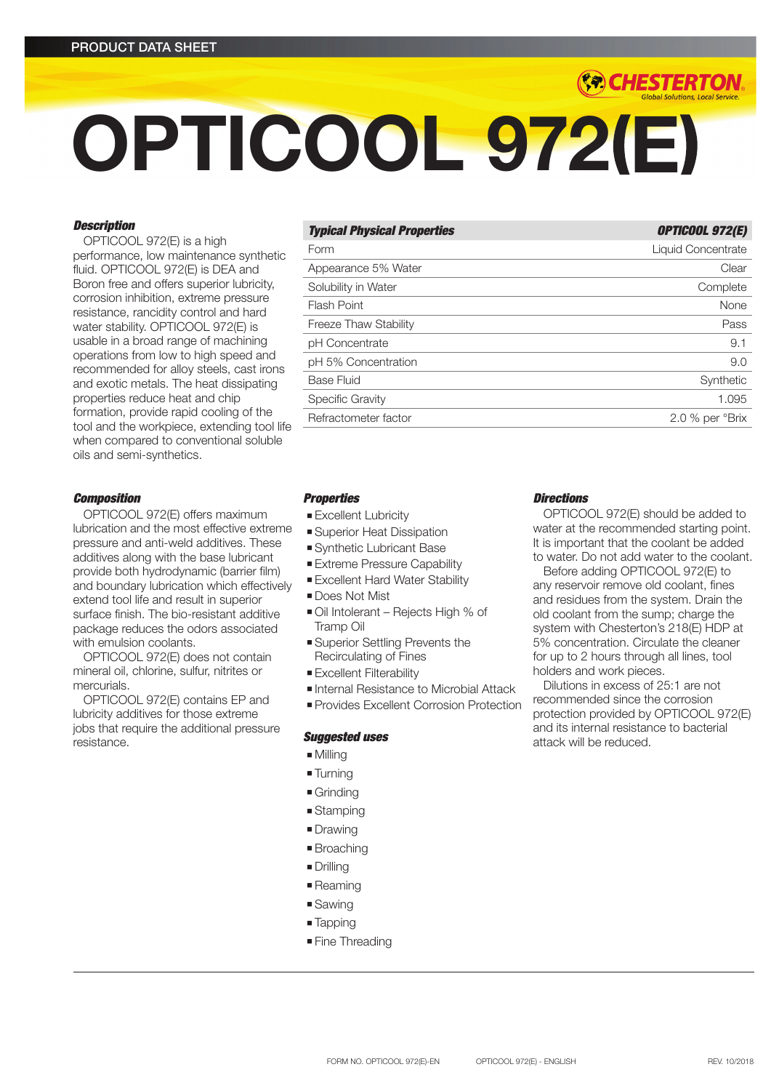# OPTICOOL 972(E)

# *Description*

OPTICOOL 972(E) is a high performance, low maintenance synthetic fluid. OPTICOOL 972(E) is DEA and Boron free and offers superior lubricity, corrosion inhibition, extreme pressure resistance, rancidity control and hard water stability. OPTICOOL 972(E) is usable in a broad range of machining operations from low to high speed and recommended for alloy steels, cast irons and exotic metals. The heat dissipating properties reduce heat and chip formation, provide rapid cooling of the tool and the workpiece, extending tool life when compared to conventional soluble oils and semi-synthetics.

# *Composition*

OPTICOOL 972(E) offers maximum lubrication and the most effective extreme pressure and anti-weld additives. These additives along with the base lubricant provide both hydrodynamic (barrier film) and boundary lubrication which effectively extend tool life and result in superior surface finish. The bio-resistant additive package reduces the odors associated with emulsion coolants.

OPTICOOL 972(E) does not contain mineral oil, chlorine, sulfur, nitrites or mercurials.

OPTICOOL 972(E) contains EP and lubricity additives for those extreme jobs that require the additional pressure resistance.

| <b>Typical Physical Properties</b> | <b>OPTICOOL 972(E)</b>    |
|------------------------------------|---------------------------|
| Form                               | <b>Liquid Concentrate</b> |
| Appearance 5% Water                | Clear                     |
| Solubility in Water                | Complete                  |
| Flash Point                        | None                      |
| <b>Freeze Thaw Stability</b>       | Pass                      |
| pH Concentrate                     | 9.1                       |
| pH 5% Concentration                | 9.0                       |
| Base Fluid                         | Synthetic                 |
| Specific Gravity                   | 1.095                     |
| Refractometer factor               | 2.0 % per °Brix           |

# *Properties*

- **Excellent Lubricity**
- **Superior Heat Dissipation**
- **Synthetic Lubricant Base**
- **Extreme Pressure Capability**
- **Excellent Hard Water Stability**
- **Does Not Mist**
- Oil Intolerant Rejects High % of Tramp Oil
- **Example 3 Superior Settling Prevents the** Recirculating of Fines
- **Excellent Filterability**
- <sup>n</sup> Internal Resistance to Microbial Attack
- **Provides Excellent Corrosion Protection**

# *Suggested uses*

- $Millina$
- Turning
- $\blacksquare$  Grinding
- **stamping**
- **Drawing**
- Broaching
- **n** Drilling
- Reaming
- $\square$  Sawing
- Tapping
- **Fine Threading**

# *Directions*

OPTICOOL 972(E) should be added to water at the recommended starting point. It is important that the coolant be added to water. Do not add water to the coolant.

*(\*\*) CHESTERTON* 

Before adding OPTICOOL 972(E) to any reservoir remove old coolant, fines and residues from the system. Drain the old coolant from the sump; charge the system with Chesterton's 218(E) HDP at 5% concentration. Circulate the cleaner for up to 2 hours through all lines, tool holders and work pieces.

Dilutions in excess of 25:1 are not recommended since the corrosion protection provided by OPTICOOL 972(E) and its internal resistance to bacterial attack will be reduced.